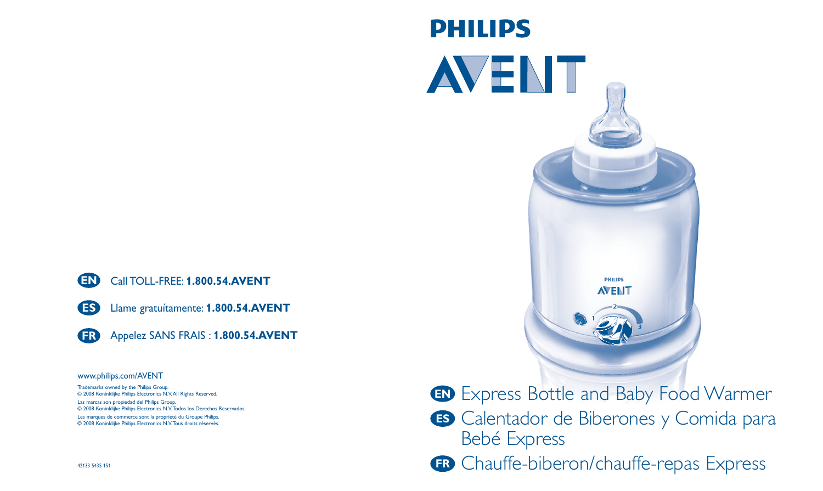

Llame gratuítamente: **1.800.54.AVENT**



**ES**

Appelez SANS FRAIS : **1.800.54.AVENT**

#### www.philips.com/AVENT

Trademarks owned by the Philips Group. © 2008 Koninklijke Philips Electronics N.V.All Rights Reserved.

Las marcas son propiedad del Philips Group. © 2008 Koninklijke Philips Electronics N.V.Todos los Derechos Reservados.

Les marques de commerce sont la propriété du Groupe Philips. © 2008 Koninklijke Philips Electronics N.V.Tous droits réservés.



**PHILIPS** 

- **EN** Express Bottle and Baby Food Warmer
- **ES** Calentador de Biberones y Comida para Bebé Express
- **FR** Chauffe-biberon/chauffe-repas Express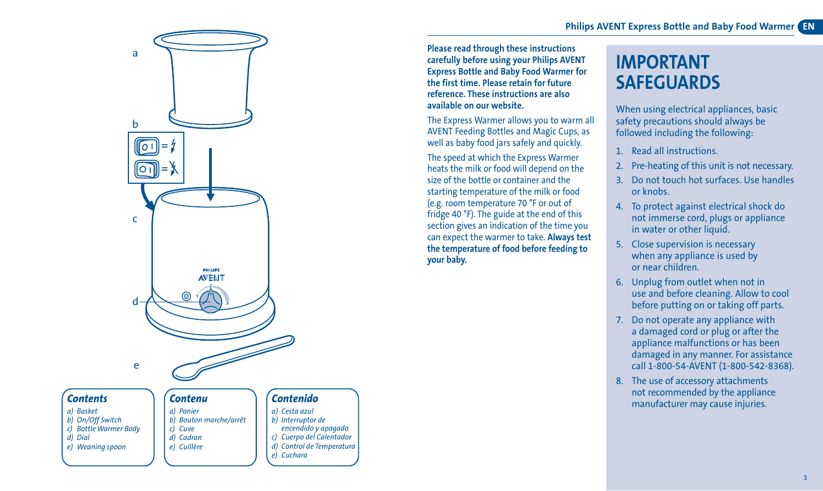

*d) Cadran e) Cuillère*

*c) Cuerpo del Calentador d) Control de Temperatura*

*e) Cuchara*

*d) Dial e) Weaning spoon* **Please read through these instructions carefully before using your Philips AVENT Express Bottle and Baby Food Warmer for the first time. Please retain for future reference. These instructions are also available on our website.** 

The Express Warmer allows you to warm all AVENT Feeding Bottles and Magic Cups, as well as baby food jars safely and quickly.

The speed at which the Express Warmer heats the milk or food will depend on the size of the bottle or container and the starting temperature of the milk or food (e.g. room temperature 70 °F or out of fridge 40 °F). The guide at the end of this section gives an indication of the time you can expect the warmer to take. **Always test the temperature of food before feeding to your baby.**

# **IMPORTANT SAFEGUARDS**

When using electrical appliances, basic safety precautions should always be followed including the following:

- 1. Read all instructions.
- Pre-heating of this unit is not necessary.
- 3. Do not touch hot surfaces. Use handles or knobs.
- 4. To protect against electrical shock do not immerse cord, plugs or appliance in water or other liquid.
- 5. Close supervision is necessary when any appliance is used by or near children.
- 6. Unplug from outlet when not in use and before cleaning. Allow to cool before putting on or taking off parts.
- 7. Do not operate any appliance with a damaged cord or plug or after the appliance malfunctions or has been damaged in any manner. For assistance call 1-800-54-AVENT (1-800-542-8368).
- 8. The use of accessory attachments not recommended by the appliance manufacturer may cause injuries.

3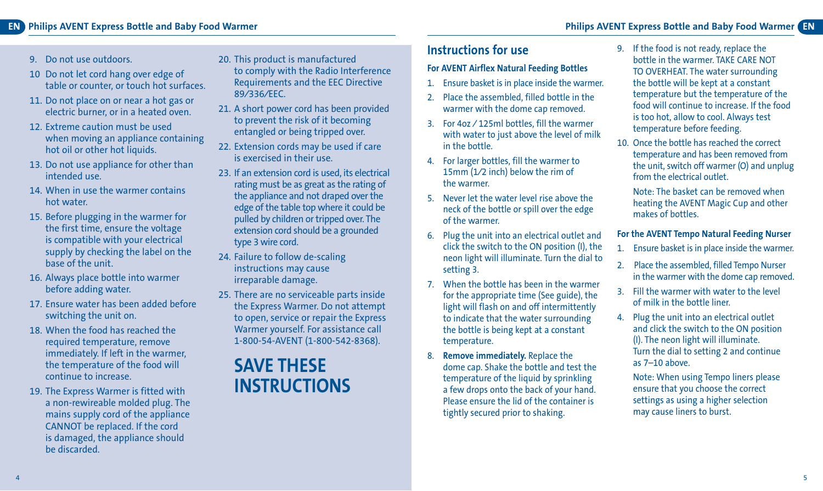#### **EN Philips AVENT Express Bottle and Baby Food Warmer EN Philips AVENT Express Bottle and Baby Food Warmer**

- 9. Do not use outdoors.
- 10 Do not let cord hang over edge of table or counter, or touch hot surfaces.
- 11. Do not place on or near a hot gas or electric burner, or in a heated oven.
- 12. Extreme caution must be used when moving an appliance containing hot oil or other hot liquids.
- 13. Do not use appliance for other than intended use.
- 14. When in use the warmer contains hot water.
- 15. Before plugging in the warmer for the first time, ensure the voltage is compatible with your electrical supply by checking the label on the base of the unit.
- 16. Always place bottle into warmer before adding water.
- 17. Ensure water has been added before switching the unit on.
- 18. When the food has reached the required temperature, remove immediately. If left in the warmer, the temperature of the food will continue to increase.
- 19. The Express Warmer is fitted with a non-rewireable molded plug. The mains supply cord of the appliance CANNOT be replaced. If the cord is damaged, the appliance should be discarded.
- 20. This product is manufactured to comply with the Radio Interference Requirements and the EEC Directive 89⁄336⁄EEC.
- 21. A short power cord has been provided to prevent the risk of it becoming entangled or being tripped over.
- 22. Extension cords may be used if care is exercised in their use.
- 23. If an extension cord is used, its electrical rating must be as great as the rating of the appliance and not draped over the edge of the table top where it could be pulled by children or tripped over. The extension cord should be a grounded type 3 wire cord.
- 24. Failure to follow de-scaling instructions may cause irreparable damage.
- 25. There are no serviceable parts inside the Express Warmer. Do not attempt to open, service or repair the Express Warmer yourself. For assistance call 1-800-54-AVENT (1-800-542-8368).

## **SAVE THESE INSTRUCTIONS**

### **Instructions for use**

#### **For AVENT Airflex Natural Feeding Bottles**

- 1. Ensure basket is in place inside the warmer.
- 2. Place the assembled, filled bottle in the warmer with the dome cap removed.
- 3. For 4oz ⁄ 125ml bottles, fill the warmer with water to just above the level of milk in the bottle.
- 4. For larger bottles, fill the warmer to 15mm (1⁄2 inch) below the rim of the warmer.
- 5. Never let the water level rise above the neck of the bottle or spill over the edge of the warmer.
- 6. Plug the unit into an electrical outlet and click the switch to the ON position (I), the neon light will illuminate. Turn the dial to setting 3.
- 7. When the bottle has been in the warmer for the appropriate time (See guide), the light will flash on and off intermittently to indicate that the water surrounding the bottle is being kept at a constant temperature.
- 8. **Remove immediately.** Replace the dome cap. Shake the bottle and test the temperature of the liquid by sprinkling a few drops onto the back of your hand. Please ensure the lid of the container is tightly secured prior to shaking.
- 9. If the food is not ready, replace the bottle in the warmer. TAKE CARE NOT TO OVERHEAT. The water surrounding the bottle will be kept at a constant temperature but the temperature of the food will continue to increase. If the food is too hot, allow to cool. Always test temperature before feeding.
- 10. Once the bottle has reached the correct temperature and has been removed from the unit, switch off warmer (O) and unplug from the electrical outlet.

Note: The basket can be removed when heating the AVENT Magic Cup and other makes of bottles.

#### **For the AVENT Tempo Natural Feeding Nurser**

- 1. Ensure basket is in place inside the warmer.
- 2. Place the assembled, filled Tempo Nurser in the warmer with the dome cap removed.
- 3. Fill the warmer with water to the level of milk in the bottle liner.
- 4. Plug the unit into an electrical outlet and click the switch to the ON position (I). The neon light will illuminate. Turn the dial to setting 2 and continue as 7–10 above.

Note: When using Tempo liners please ensure that you choose the correct settings as using a higher selection may cause liners to burst.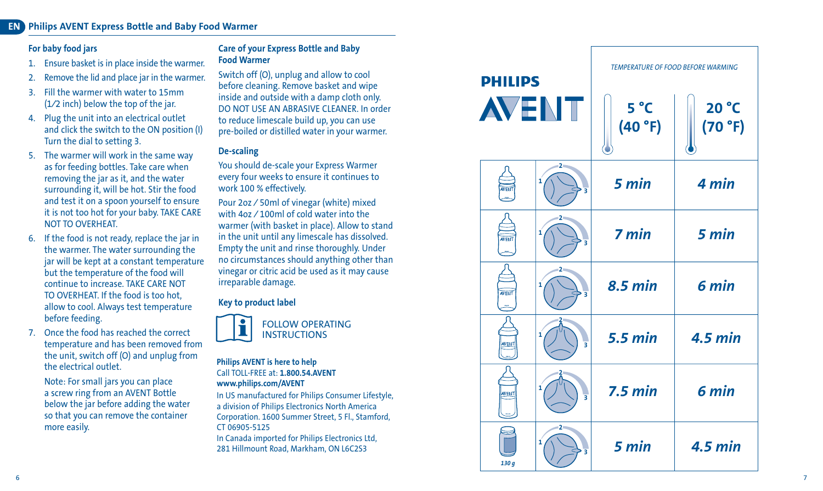#### **ENPhilips AVENT Express Bottle and Baby Food Warmer**

#### **For baby food jars**

- 1. Ensure basket is in place inside the warmer.
- 2. Remove the lid and place jar in the warmer.
- 3. Fill the warmer with water to 15mm (1⁄2 inch) below the top of the jar.
- 4. Plug the unit into an electrical outlet and click the switch to the ON position (I) Turn the dial to setting 3.
- 5. The warmer will work in the same way as for feeding bottles. Take care when removing the jar as it, and the water surrounding it, will be hot. Stir the food and test it on a spoon yourself to ensure it is not too hot for your baby. TAKE CARE NOT TO OVERHEAT.
- 6. If the food is not ready, replace the jar in the warmer. The water surrounding the jar will be kept at a constant temperature but the temperature of the food will continue to increase. TAKE CARE NOT TO OVERHEAT. If the food is too hot allow to cool. Always test temperature before feeding.
- 7. Once the food has reached the correct temperature and has been removed from the unit, switch off (O) and unplug from the electrical outlet.

Note: For small jars you can place a screw ring from an AVENT Bottle below the jar before adding the water so that you can remove the container more easily.

#### **Care of your Express Bottle and Baby Food Warmer**

Switch off (O), unplug and allow to cool before cleaning. Remove basket and wipe inside and outside with a damp cloth only. DO NOT USE AN ABRASIVE CLEANER. In order to reduce limescale build up, you can use pre-boiled or distilled water in your warmer.

#### **De-scaling**

You should de-scale your Express Warmer every four weeks to ensure it continues to work 100 % effectively.

Pour 2oz ⁄ 50ml of vinegar (white) mixed with 4oz ⁄ 100ml of cold water into the warmer (with basket in place). Allow to stand in the unit until any limescale has dissolved. Empty the unit and rinse thoroughly. Under no circumstances should anything other than vinegar or citric acid be used as it may cause irreparable damage.

#### **Key to product label**



#### **Philips AVENT is here to help** Call TOLL-FREE at: **1.800.54.AVENT www.philips.com/AVENT**

In US manufactured for Philips Consumer Lifestyle, a division of Philips Electronics North America Corporation. 1600 Summer Street, 5 Fl., Stamford, CT 06905-5125

In Canada imported for Philips Electronics Ltd, 281 Hillmount Road, Markham, ON L6C2S3

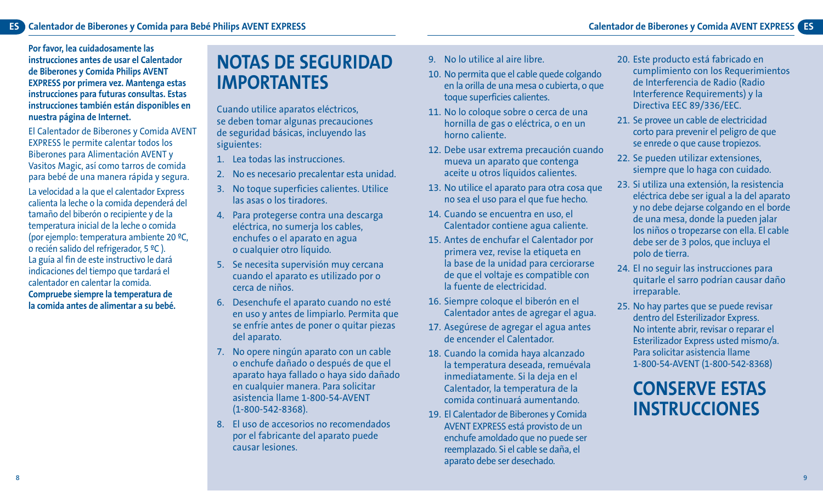**Por favor, lea cuidadosamente las instrucciones antes de usar el Calentador de Biberones y Comida Philips AVENT EXPRESS por primera vez. Mantenga estas instrucciones para futuras consultas. Estas instrucciones también están disponibles en nuestra página de Internet.**

El Calentador de Biberones y Comida AVENT EXPRESS le permite calentar todos los Biberones para Alimentación AVENT y Vasitos Magic, así como tarros de comida para bebé de una manera rápida y segura. La velocidad a la que el calentador Express calienta la leche o la comida dependerá del tamaño del biberón o recipiente y de la temperatura inicial de la leche o comida (por ejemplo: temperatura ambiente 20 ºC, o recién salido del refrigerador, 5 ºC ). La guía al fin de este instructivo le dará indicaciones del tiempo que tardará el calentador en calentar la comida. **Compruebe siempre la temperatura de la comida antes de alimentar a su bebé.**

## **NOTAS DE SEGURIDAD IMPORTANTES**

Cuando utilice aparatos eléctricos, se deben tomar algunas precauciones de seguridad básicas, incluyendo las siguientes:

- 1. Lea todas las instrucciones.
- 2. No es necesario precalentar esta unidad.
- 3. No toque superficies calientes. Utilice las asas o los tiradores.
- 4. Para protegerse contra una descarga eléctrica, no sumerja los cables, enchufes o el aparato en agua o cualquier otro líquido.
- 5. Se necesita supervisión muy cercana cuando el aparato es utilizado por o cerca de niños.
- 6. Desenchufe el aparato cuando no esté en uso y antes de limpiarlo. Permita que se enfríe antes de poner o quitar piezas del aparato.
- 7. No opere ningún aparato con un cable o enchufe dañado o después de que el aparato haya fallado o haya sido dañado en cualquier manera. Para solicitar asistencia llame 1-800-54-AVENT (1-800-542-8368).
- 8. El uso de accesorios no recomendados por el fabricante del aparato puede causar lesiones.
- 9. No lo utilice al aire libre.
- 10. No permita que el cable quede colgando en la orilla de una mesa o cubierta, o que toque superficies calientes.
- 11. No lo coloque sobre o cerca de una hornilla de gas o eléctrica, o en un horno caliente.
- 12. Debe usar extrema precaución cuando mueva un aparato que contenga aceite u otros líquidos calientes.
- 13. No utilice el aparato para otra cosa que no sea el uso para el que fue hecho.
- 14. Cuando se encuentra en uso, el Calentador contiene agua caliente.
- 15. Antes de enchufar el Calentador por primera vez, revise la etiqueta en la base de la unidad para cerciorarse de que el voltaje es compatible con la fuente de electricidad.
- 16. Siempre coloque el biberón en el Calentador antes de agregar el agua.
- 17. Asegúrese de agregar el agua antes de encender el Calentador.
- 18. Cuando la comida haya alcanzado la temperatura deseada, remuévala inmediatamente. Si la deja en el Calentador, la temperatura de la comida continuará aumentando.
- 19. El Calentador de Biberones y Comida AVENT EXPRESS está provisto de un enchufe amoldado que no puede ser reemplazado. Si el cable se daña, el aparato debe ser desechado.
- 20. Este producto está fabricado en cumplimiento con los Requerimientos de Interferencia de Radio (Radio Interference Requirements) y la Directiva EEC 89/336/EEC.
- 21. Se provee un cable de electricidad corto para prevenir el peligro de que se enrede o que cause tropiezos.
- 22. Se pueden utilizar extensiones, siempre que lo haga con cuidado.
- 23. Si utiliza una extensión, la resistencia eléctrica debe ser igual a la del aparato y no debe dejarse colgando en el borde de una mesa, donde la pueden jalar los niños o tropezarse con ella. El cable debe ser de 3 polos, que incluya el polo de tierra.
- 24. El no seguir las instrucciones para quitarle el sarro podrían causar daño irreparable.
- 25. No hay partes que se puede revisar dentro del Esterilizador Express. No intente abrir, revisar o reparar el Esterilizador Express usted mismo/a. Para solicitar asistencia llame 1-800-54-AVENT (1-800-542-8368)

## **CONSERVE ESTAS INSTRUCCIONES**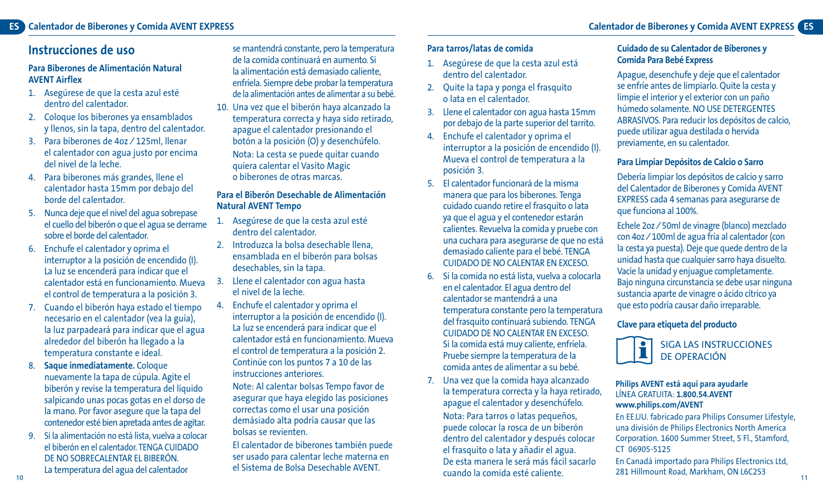### **Instrucciones de uso**

#### **Para Biberones de Alimentación Natural AVENT Airflex**

- 1. Asegúrese de que la cesta azul esté dentro del calentador.
- 2. Coloque los biberones ya ensamblados y llenos, sin la tapa, dentro del calentador.
- 3. Para biberones de 4oz ⁄ 125ml, llenar el calentador con agua justo por encima del nivel de la leche.
- 4. Para biberones más grandes, llene el calentador hasta 15mm por debajo del borde del calentador.
- 5. Nunca deje que el nivel del agua sobrepase el cuello del biberón o que el agua se derrame sobre el borde del calentador.
- 6. Enchufe el calentador y oprima el interruptor a la posición de encendido (I). La luz se encenderá para indicar que el calentador está en funcionamiento. Mueva el control de temperatura a la posición 3.
- 7. Cuando el biberón haya estado el tiempo necesario en el calentador (vea la guía), la luz parpadeará para indicar que el agua alrededor del biberón ha llegado a la temperatura constante e ideal.
- 8. **Saque inmediatamente.** Coloque nuevamente la tapa de cúpula. Agite el biberón y revise la temperatura del líquido salpicando unas pocas gotas en el dorso de la mano. Por favor asegure que la tapa del contenedor esté bien apretada antes de agitar.
- 9. Si la alimentación no está lista, vuelva a colocar el biberón en el calentador. TENGA CUIDADO DE NO SOBRECALENTAR EL BIBERÓN. La temperatura del agua del calentador

se mantendrá constante, pero la temperatura de la comida continuará en aumento. Si la alimentación está demasiado caliente, enfríela. Siempre debe probar la temperatura de la alimentación antes de alimentar a su bebé.

10. Una vez que el biberón haya alcanzado la temperatura correcta y haya sido retirado, apague el calentador presionando el botón a la posición (O) y desenchúfelo. Nota: La cesta se puede quitar cuando quiera calentar el Vasito Magic o biberones de otras marcas.

#### **Para el Biberón Desechable de Alimentación Natural AVENT Tempo**

- 1. Asegúrese de que la cesta azul esté dentro del calentador.
- 2. Introduzca la bolsa desechable llena, ensamblada en el biberón para bolsas desechables, sin la tapa.
- 3. Llene el calentador con agua hasta el nivel de la leche.
- 4. Enchufe el calentador y oprima el interruptor a la posición de encendido (I). La luz se encenderá para indicar que el calentador está en funcionamiento. Mueva el control de temperatura a la posición 2. Continúe con los puntos 7 a 10 de las instrucciones anteriores.

Note: Al calentar bolsas Tempo favor de asegurar que haya elegido las posiciones correctas como el usar una posición demásiado alta podría causar que las bolsas se revienten.

El calentador de biberones también puede ser usado para calentar leche materna en el Sistema de Bolsa Desechable AVENT.

#### **Para tarros/latas de comida**

- 1. Asegúrese de que la cesta azul está dentro del calentador.
- 2. Quite la tapa y ponga el frasquito o lata en el calentador.
- 3. Llene el calentador con agua hasta 15mm por debajo de la parte superior del tarrito.
- 4. Enchufe el calentador y oprima el interruptor a la posición de encendido (I). Mueva el control de temperatura a la posición 3.
- 5. El calentador funcionará de la misma manera que para los biberones. Tenga cuidado cuando retire el frasquito o lata ya que el agua y el contenedor estarán calientes. Revuelva la comida y pruebe con una cuchara para asegurarse de que no está demasiado caliente para el bebé. TENGA CUIDADO DE NO CALENTAR EN EXCESO.
- 6. Si la comida no está lista, vuelva a colocarla en el calentador. El agua dentro del calentador se mantendrá a una temperatura constante pero la temperatura del frasquito continuará subiendo. TENGA CUIDADO DE NO CALENTAR EN EXCESO. Si la comida está muy caliente, enfríela. Pruebe siempre la temperatura de la comida antes de alimentar a su bebé.
- 7. Una vez que la comida haya alcanzado la temperatura correcta y la haya retirado, apague el calentador y desenchúfelo. Nota: Para tarros o latas pequeños, puede colocar la rosca de un biberón dentro del calentador y después colocar el frasquito o lata y añadir el agua. De esta manera le será más fácil sacarlo cuando la comida esté caliente.

#### **Cuidado de su Calentador de Biberones y Comida Para Bebé Express**

Apague, desenchufe y deje que el calentador se enfríe antes de limpiarlo. Quite la cesta y limpie el interior y el exterior con un paño húmedo solamente. NO USE DETERGENTES ABRASIVOS. Para reducir los depósitos de calcio, puede utilizar agua destilada o hervida previamente, en su calentador.

#### **Para Limpiar Depósitos de Calcio o Sarro**

Debería limpiar los depósitos de calcio y sarro del Calentador de Biberones y Comida AVENT EXPRESS cada 4 semanas para asegurarse de que funciona al 100%.

Echele 2oz ⁄ 50ml de vinagre (blanco) mezclado con 4oz ⁄ 100ml de agua fría al calentador (con la cesta ya puesta). Deje que quede dentro de la unidad hasta que cualquier sarro haya disuelto. Vacíe la unidad y enjuague completamente. Bajo ninguna circunstancia se debe usar ninguna sustancia aparte de vinagre o ácido cítrico ya que esto podría causar daño irreparable.

#### **Clave para etiqueta del producto**



# SIGA LAS INSTRUCCIONES

#### **Philips AVENT está aquí para ayudarle** LÍNEA GRATUITA: **1.800.54.AVENT www.philips.com/AVENT**

En EE.UU. fabricado para Philips Consumer Lifestyle, una división de Philips Electronics North America Corporation. 1600 Summer Street, 5 Fl., Stamford, CT 06905-5125

En Canadá importado para Philips Electronics Ltd, 281 Hillmount Road, Markham, ON L6C2S3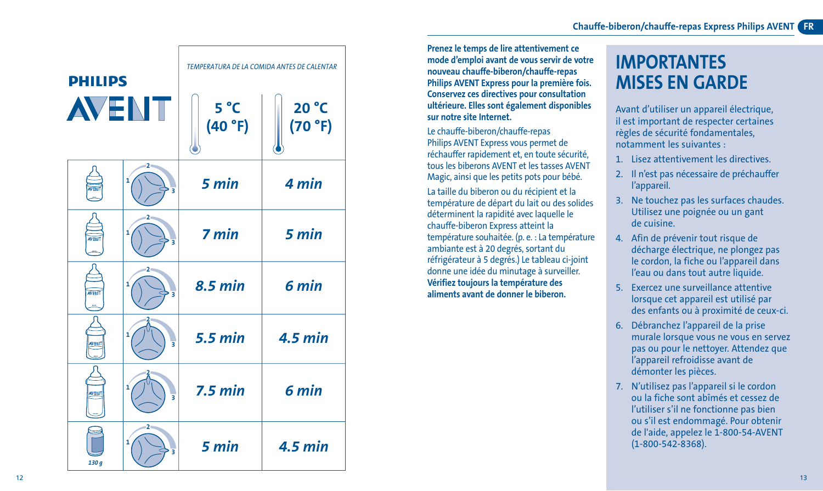

**Prenez le temps de lire attentivement ce mode d'emploi avant de vous servir de votre nouveau chauffe-biberon/chauffe-repas Philips AVENT Express pour la première fois. Conservez ces directives pour consultation ultérieure. Elles sont également disponibles sur notre site Internet.**

Le chauffe-biberon/chauffe-repas Philips AVENT Express vous permet de réchauffer rapidement et, en toute sécurité, tous les biberons AVENT et les tasses AVENT Magic, ainsi que les petits pots pour bébé. La taille du biberon ou du récipient et la température de départ du lait ou des solides déterminent la rapidité avec laquelle le chauffe-biberon Express atteint la température souhaitée. (p. e. : La température ambiante est à 20 degrés, sortant du réfrigérateur à 5 degrés.) Le tableau ci-joint donne une idée du minutage à surveiller. **Vérifiez toujours la température des aliments avant de donner le biberon.**

# **IMPORTANTES MISES EN GARDE**

Avant d'utiliser un appareil électrique, il est important de respecter certaines règles de sécurité fondamentales, notamment les suivantes :

- 1. Lisez attentivement les directives.
- 2. Il n'est pas nécessaire de préchauffer l'appareil.
- 3. Ne touchez pas les surfaces chaudes. Utilisez une poignée ou un gant de cuisine.
- 4. Afin de prévenir tout risque de décharge électrique, ne plongez pas le cordon, la fiche ou l'appareil dans l'eau ou dans tout autre liquide.
- 5. Exercez une surveillance attentive lorsque cet appareil est utilisé par des enfants ou à proximité de ceux-ci.
- 6. Débranchez l'appareil de la prise murale lorsque vous ne vous en servez pas ou pour le nettoyer. Attendez que l'appareil refroidisse avant de démonter les pièces.
- 7. N'utilisez pas l'appareil si le cordon ou la fiche sont abîmés et cessez de l'utiliser s'il ne fonctionne pas bien ou s'il est endommagé. Pour obtenir de l'aide, appelez le 1-800-54-AVENT (1-800-542-8368).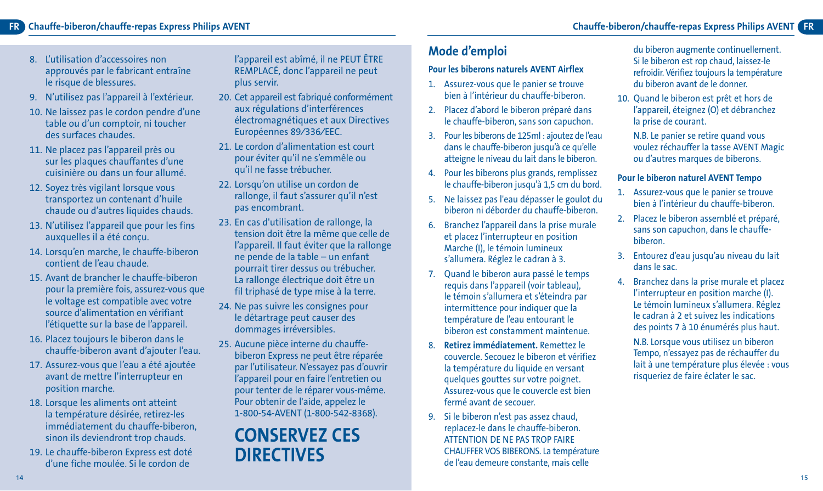#### **FR FR Chauffe-biberon/chauffe-repas Express Philips AVENT Chauffe-biberon/chauffe-repas Express Philips AVENT**

- 8. L'utilisation d'accessoires non approuvés par le fabricant entraîne le risque de blessures.
- 9. N'utilisez pas l'appareil à l'extérieur.
- 10. Ne laissez pas le cordon pendre d'une table ou d'un comptoir, ni toucher des surfaces chaudes.
- 11. Ne placez pas l'appareil près ou sur les plaques chauffantes d'une cuisinière ou dans un four allumé.
- 12. Soyez très vigilant lorsque vous transportez un contenant d'huile chaude ou d'autres liquides chauds.
- 13. N'utilisez l'appareil que pour les fins auxquelles il a été conçu.
- 14. Lorsqu'en marche, le chauffe-biberon contient de l'eau chaude.
- 15. Avant de brancher le chauffe-biberon pour la première fois, assurez-vous que le voltage est compatible avec votre source d'alimentation en vérifiant l'étiquette sur la base de l'appareil.
- 16. Placez toujours le biberon dans le chauffe-biberon avant d'ajouter l'eau.
- 17. Assurez-vous que l'eau a été ajoutée avant de mettre l'interrupteur en position marche.
- 18. Lorsque les aliments ont atteint la température désirée, retirez-les immédiatement du chauffe-biberon, sinon ils deviendront trop chauds.
- 19. Le chauffe-biberon Express est doté d'une fiche moulée. Si le cordon de

l'appareil est abîmé, il ne PEUT ÊTRE REMPLACÉ, donc l'appareil ne peut plus servir.

- 20. Cet appareil est fabriqué conformément aux régulations d'interférences électromagnétiques et aux Directives Européennes 89⁄336⁄EEC.
- 21. Le cordon d'alimentation est court pour éviter qu'il ne s'emmêle ou qu'il ne fasse trébucher.
- 22. Lorsqu'on utilise un cordon de rallonge, il faut s'assurer qu'il n'est pas encombrant.
- 23. En cas d'utilisation de rallonge, la tension doit être la même que celle de l'appareil. Il faut éviter que la rallonge ne pende de la table – un enfant pourrait tirer dessus ou trébucher. La rallonge électrique doit être un fil triphasé de type mise à la terre.
- 24. Ne pas suivre les consignes pour le détartrage peut causer des dommages irréversibles.
- 25. Aucune pièce interne du chauffebiberon Express ne peut être réparée par l'utilisateur. N'essayez pas d'ouvrir l'appareil pour en faire l'entretien ou pour tenter de le réparer vous-même. Pour obtenir de l'aide, appelez le 1-800-54-AVENT (1-800-542-8368).

## **CONSERVEZ CES DIRECTIVES**

## **Mode d'emploi**

#### **Pour les biberons naturels AVENT Airflex**

- 1. Assurez-vous que le panier se trouve bien à l'intérieur du chauffe-biberon.
- 2. Placez d'abord le biberon préparé dans le chauffe-biberon, sans son capuchon.
- 3. Pour les biberons de 125ml : ajoutez de l'eau dans le chauffe-biberon jusqu'à ce qu'elle atteigne le niveau du lait dans le biberon.
- 4. Pour les biberons plus grands, remplissez le chauffe-biberon jusqu'à 1,5 cm du bord.
- 5. Ne laissez pas l'eau dépasser le goulot du biberon ni déborder du chauffe-biberon.
- 6. Branchez l'appareil dans la prise murale et placez l'interrupteur en position Marche (I), le témoin lumineux s'allumera. Réglez le cadran à 3.
- 7. Quand le biberon aura passé le temps requis dans l'appareil (voir tableau), le témoin s'allumera et s'éteindra par intermittence pour indiquer que la température de l'eau entourant le biberon est constamment maintenue.
- 8. **Retirez immédiatement.** Remettez le couvercle. Secouez le biberon et vérifiez la température du liquide en versant quelques gouttes sur votre poignet. Assurez-vous que le couvercle est bien fermé avant de secouer.
- 9. Si le biberon n'est pas assez chaud, replacez-le dans le chauffe-biberon. ATTENTION DE NE PAS TROP FAIRE CHAUFFER VOS BIBERONS. La température de l'eau demeure constante, mais celle

du biberon augmente continuellement. Si le biberon est rop chaud, laissez-le refroidir. Vérifiez toujours la température du biberon avant de le donner.

- 10. Quand le biberon est prêt et hors de l'appareil, éteignez (O) et débranchez la prise de courant.
	- N.B. Le panier se retire quand vous voulez réchauffer la tasse AVENT Magic ou d'autres marques de biberons.

#### **Pour le biberon naturel AVENT Tempo**

- 1. Assurez-vous que le panier se trouve bien à l'intérieur du chauffe-biberon.
- 2. Placez le biberon assemblé et préparé, sans son capuchon, dans le chauffebiberon.
- 3. Entourez d'eau jusqu'au niveau du lait dans le sac.
- 4. Branchez dans la prise murale et placez l'interrupteur en position marche (I). Le témoin lumineux s'allumera. Réglez le cadran à 2 et suivez les indications des points 7 à 10 énumérés plus haut.

N.B. Lorsque vous utilisez un biberon Tempo, n'essayez pas de réchauffer du lait à une température plus élevée : vous risqueriez de faire éclater le sac.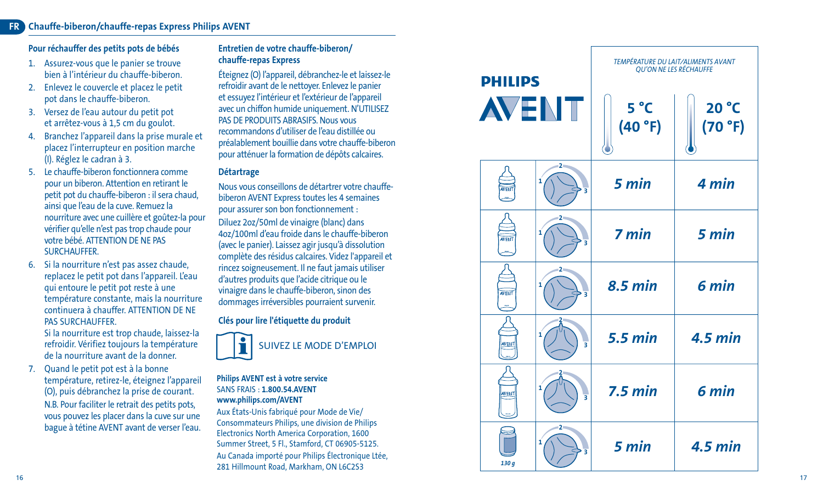#### **FR Chauffe-biberon/chauffe-repas Express Philips AVENT**

#### **Pour réchauffer des petits pots de bébés**

- 1. Assurez-vous que le panier se trouve bien à l'intérieur du chauffe-biberon.
- 2. Enlevez le couvercle et placez le petit pot dans le chauffe-biberon.
- 3. Versez de l'eau autour du petit pot et arrêtez-vous à 1,5 cm du goulot.
- 4. Branchez l'appareil dans la prise murale et placez l'interrupteur en position marche (I). Réglez le cadran à 3.
- 5. Le chauffe-biberon fonctionnera comme pour un biberon. Attention en retirant le petit pot du chauffe-biberon : il sera chaud, ainsi que l'eau de la cuve. Remuez la nourriture avec une cuillère et goûtez-la pour vérifier qu'elle n'est pas trop chaude pour votre bébé. ATTENTION DE NE PAS SURCHAUFFER.
- 6. Si la nourriture n'est pas assez chaude, replacez le petit pot dans l'appareil. L'eau qui entoure le petit pot reste à une température constante, mais la nourriture continuera à chauffer. ATTENTION DE NE PAS SURCHAUFFER.

Si la nourriture est trop chaude, laissez-la refroidir. Vérifiez toujours la température de la nourriture avant de la donner.

7. Quand le petit pot est à la bonne température, retirez-le, éteignez l'appareil (O), puis débranchez la prise de courant. N.B. Pour faciliter le retrait des petits pots, vous pouvez les placer dans la cuve sur une bague à tétine AVENT avant de verser l'eau.

#### **Entretien de votre chauffe-biberon/ chauffe-repas Express**

Éteignez (O) l'appareil, débranchez-le et laissez-le refroidir avant de le nettoyer. Enlevez le panier et essuyez l'intérieur et l'extérieur de l'appareil avec un chiffon humide uniquement. N'UTILISEZ PAS DE PRODUITS ABRASIFS. Nous vous recommandons d'utiliser de l'eau distillée ou préalablement bouillie dans votre chauffe-biberon pour atténuer la formation de dépôts calcaires.

#### **Détartrage**

Nous vous conseillons de détartrer votre chauffebiberon AVENT Express toutes les 4 semaines pour assurer son bon fonctionnement :

Diluez 2oz/50ml de vinaigre (blanc) dans 4oz/100ml d'eau froide dans le chauffe-biberon (avec le panier). Laissez agir jusqu'à dissolution complète des résidus calcaires. Videz l'appareil et rincez soigneusement. Il ne faut jamais utiliser d'autres produits que l'acide citrique ou le vinaigre dans le chauffe-biberon, sinon des dommages irréversibles pourraient survenir.

#### **Clés pour lire l'étiquette du produit**



#### **Philips AVENT est à votre service** SANS FRAIS : **1.800.54.AVENT www.philips.com/AVENT**

Aux États-Unis fabriqué pour Mode de Vie/ Consommateurs Philips, une division de Philips Electronics North America Corporation, 1600 Summer Street, 5 Fl., Stamford, CT 06905-5125. Au Canada importé pour Philips Électronique Ltée, 281 Hillmount Road, Markham, ON L6C2S3